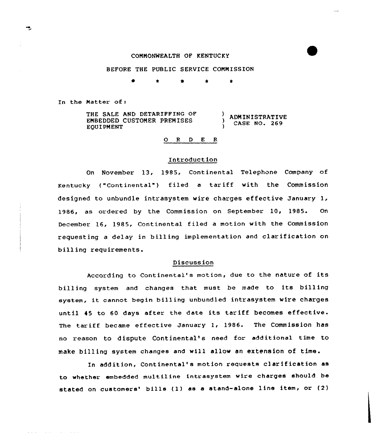## COMMONWEALTH OF KENTUCKY

### BEFORE THE PUBLIC SERVICE COMMISSION

\* s \* \*

In the Matter of:

المتمام والمتناوب المتماري والمتمرض

| THE SALE AND DETARIFFING OF<br>EMBEDDED CUSTOMER PREMISES<br>EOUIPMENT | ADMINISTRATIVE<br>CASE NO. 269 |
|------------------------------------------------------------------------|--------------------------------|
|------------------------------------------------------------------------|--------------------------------|

# O R D E R

### Introduction

On November 13, 1985, Continental Telephone Company of Kentucky ( "Cont inental" ) f iled <sup>a</sup> tar iff with the Commission designed to unbundle intrasystem wire charges ef fective January 1, 1986, as ordered by the Commission on September 10, 1985. On December 16, 1985, Continental filed a motion with the Commission requesting <sup>a</sup> delay in billing implementation and clarification on billing requirements.

#### Discussion

According to Continental's motion, due to the nature of its billing system and changes that must be made to its billing system, it cannot begin billing unbundled intrasystem wire charges until <sup>45</sup> to 60 days after the date its tariff becomes effective. The tariff became effective January 1, 1986. The Commission has no reason to dispute Continental's need for additional time to make billing system changes and will allow an extension of time.

In addition, Continental's motion requests clarification as to whether embedded multiline intrasystem wire charges should be stated on customers' bills (1) as a stand-alone line item, or (2)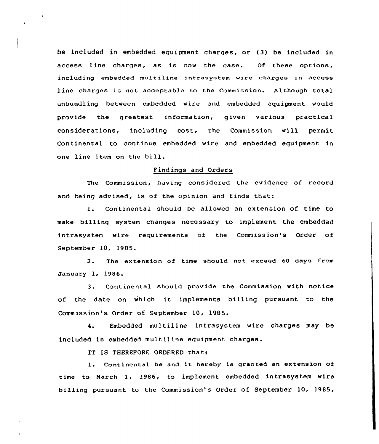be included in embedded equipment charges, or (3) be included in access line charges, as is now the case. Of these options, including embedded multiline intrasystem wire charges in access line charges is not acceptable to the Commission. Although total unbundl ing between embedded wire and embedded equipment would provide the greatest information, given various practical considerations, including cost, the Commission will permit Continental to continue embedded wire and embedded equipment in one line item on the bill.

### Findings and Orders

The Commission, having considered the evidence of record and being advised, is of the opinion and finds that:

1. Continental should be allowed an extension of time to make billing system changes necessary to implement the embedded intrasystem wire requirements of the Commission's Order of September 10, 1985.

2. The extension of time should not exceed 60 days from January 1, 1986.

3. Continental should provide the Commission with notice of the date on which it implements billing pursuant to the Commission's Order of September 10, 1985.

4. Embedded multiline intrasystem wire charges may be included in embedded multiline equipment charges.

IT IS THEREFORE ORDERED that:

l. Continental be and it hereby is granted an extension of time to March 1, 1986, to implement embedded intrasystem wire billing pursuant to the Commission's Order of September 10, 1985,